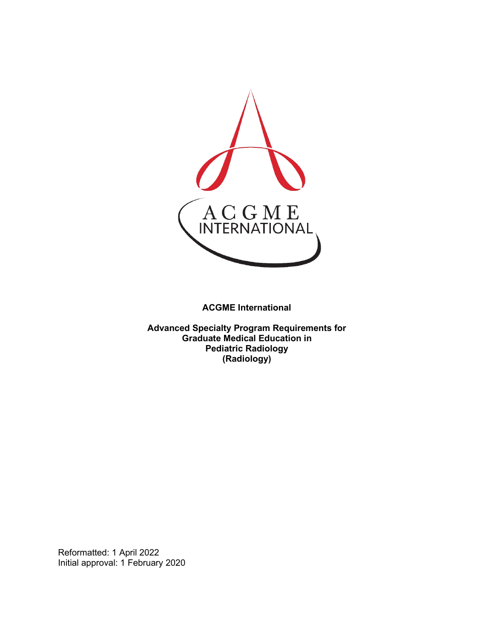

**ACGME International** 

**Advanced Specialty Program Requirements for Graduate Medical Education in Pediatric Radiology (Radiology)**

Reformatted: 1 April 2022 Initial approval: 1 February 2020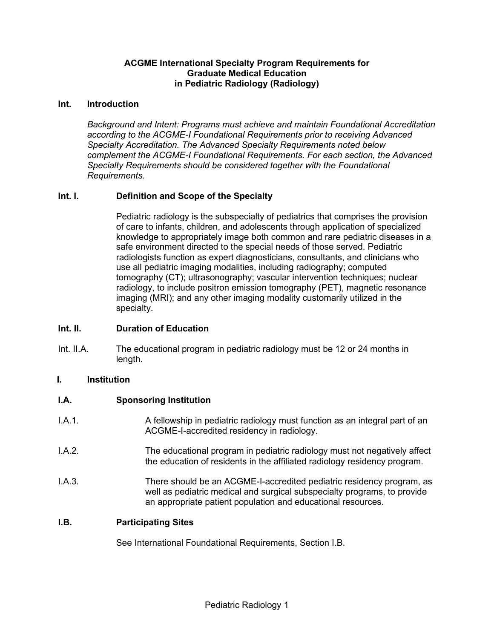#### **ACGME International Specialty Program Requirements for Graduate Medical Education in Pediatric Radiology (Radiology)**

#### **Int. Introduction**

*Background and Intent: Programs must achieve and maintain Foundational Accreditation according to the ACGME-I Foundational Requirements prior to receiving Advanced Specialty Accreditation. The Advanced Specialty Requirements noted below complement the ACGME-I Foundational Requirements. For each section, the Advanced Specialty Requirements should be considered together with the Foundational Requirements.*

### **Int. I. Definition and Scope of the Specialty**

Pediatric radiology is the subspecialty of pediatrics that comprises the provision of care to infants, children, and adolescents through application of specialized knowledge to appropriately image both common and rare pediatric diseases in a safe environment directed to the special needs of those served. Pediatric radiologists function as expert diagnosticians, consultants, and clinicians who use all pediatric imaging modalities, including radiography; computed tomography (CT); ultrasonography; vascular intervention techniques; nuclear radiology, to include positron emission tomography (PET), magnetic resonance imaging (MRI); and any other imaging modality customarily utilized in the specialty.

# **Int. II. Duration of Education**

Int. II.A. The educational program in pediatric radiology must be 12 or 24 months in length.

#### **I. Institution**

#### **I.A. Sponsoring Institution**

- I.A.1. A fellowship in pediatric radiology must function as an integral part of an ACGME-I-accredited residency in radiology.
- I.A.2. The educational program in pediatric radiology must not negatively affect the education of residents in the affiliated radiology residency program.
- I.A.3. There should be an ACGME-I-accredited pediatric residency program, as well as pediatric medical and surgical subspecialty programs, to provide an appropriate patient population and educational resources.

#### **I.B. Participating Sites**

See International Foundational Requirements, Section I.B.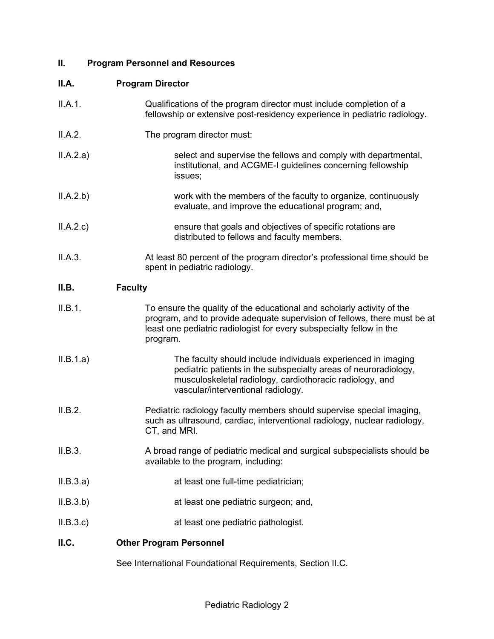# **II. Program Personnel and Resources**

# **II.A. Program Director**

| II.A.1.   | Qualifications of the program director must include completion of a<br>fellowship or extensive post-residency experience in pediatric radiology.                                                                                        |
|-----------|-----------------------------------------------------------------------------------------------------------------------------------------------------------------------------------------------------------------------------------------|
| II.A.2.   | The program director must:                                                                                                                                                                                                              |
| ILA.2.a)  | select and supervise the fellows and comply with departmental,<br>institutional, and ACGME-I guidelines concerning fellowship<br>issues;                                                                                                |
| ILA.2.b)  | work with the members of the faculty to organize, continuously<br>evaluate, and improve the educational program; and,                                                                                                                   |
| ILA.2.c)  | ensure that goals and objectives of specific rotations are<br>distributed to fellows and faculty members.                                                                                                                               |
| II.A.3.   | At least 80 percent of the program director's professional time should be<br>spent in pediatric radiology.                                                                                                                              |
| II.B.     | <b>Faculty</b>                                                                                                                                                                                                                          |
| II.B.1.   | To ensure the quality of the educational and scholarly activity of the<br>program, and to provide adequate supervision of fellows, there must be at<br>least one pediatric radiologist for every subspecialty fellow in the<br>program. |
| II.B.1.a) | The faculty should include individuals experienced in imaging<br>pediatric patients in the subspecialty areas of neuroradiology,<br>musculoskeletal radiology, cardiothoracic radiology, and<br>vascular/interventional radiology.      |
| II.B.2.   | Pediatric radiology faculty members should supervise special imaging,<br>such as ultrasound, cardiac, interventional radiology, nuclear radiology,<br>CT, and MRI.                                                                      |
| II.B.3.   | A broad range of pediatric medical and surgical subspecialists should be<br>available to the program, including:                                                                                                                        |
| II.B.3.a) | at least one full-time pediatrician;                                                                                                                                                                                                    |
| ILB.3.b)  | at least one pediatric surgeon; and,                                                                                                                                                                                                    |
| II.B.3.c  | at least one pediatric pathologist.                                                                                                                                                                                                     |
| II.C.     | <b>Other Program Personnel</b>                                                                                                                                                                                                          |
|           | See International Foundational Requirements, Section II.C.                                                                                                                                                                              |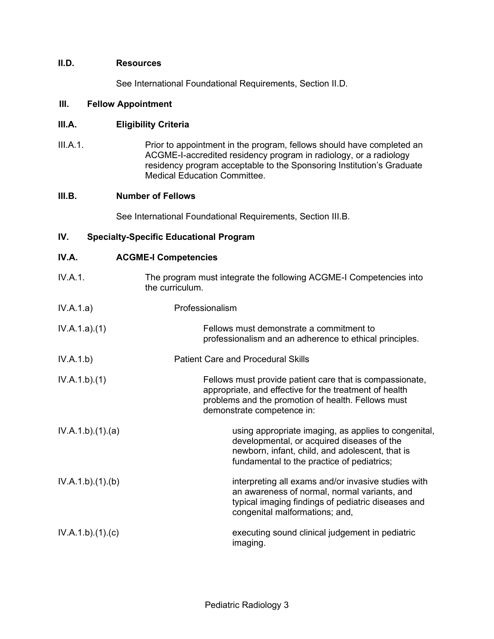# **II.D. Resources**

See International Foundational Requirements, Section II.D.

#### **III. Fellow Appointment**

#### **III.A. Eligibility Criteria**

III.A.1. Prior to appointment in the program, fellows should have completed an ACGME-I-accredited residency program in radiology, or a radiology residency program acceptable to the Sponsoring Institution's Graduate Medical Education Committee.

# **III.B. Number of Fellows**

See International Foundational Requirements, Section III.B.

# **IV. Specialty-Specific Educational Program**

| IV.A. | <b>ACGME-I Competencies</b> |
|-------|-----------------------------|
|-------|-----------------------------|

| IV.A.1.         | The program must integrate the following ACGME-I Competencies into<br>the curriculum.                                                                                                                  |
|-----------------|--------------------------------------------------------------------------------------------------------------------------------------------------------------------------------------------------------|
| IV.A.1.a)       | Professionalism                                                                                                                                                                                        |
| IV.A.1.a)(1)    | Fellows must demonstrate a commitment to<br>professionalism and an adherence to ethical principles.                                                                                                    |
| IV.A.1.b)       | <b>Patient Care and Procedural Skills</b>                                                                                                                                                              |
| IV.A.1.b)(1)    | Fellows must provide patient care that is compassionate,<br>appropriate, and effective for the treatment of health<br>problems and the promotion of health. Fellows must<br>demonstrate competence in: |
| IV.A.1.b)(1)(a) | using appropriate imaging, as applies to congenital,<br>developmental, or acquired diseases of the<br>newborn, infant, child, and adolescent, that is<br>fundamental to the practice of pediatrics;    |
| IV.A.1.b)(1)(b) | interpreting all exams and/or invasive studies with<br>an awareness of normal, normal variants, and<br>typical imaging findings of pediatric diseases and<br>congenital malformations; and,            |
| IV.A.1.b)(1)(c) | executing sound clinical judgement in pediatric<br>imaging.                                                                                                                                            |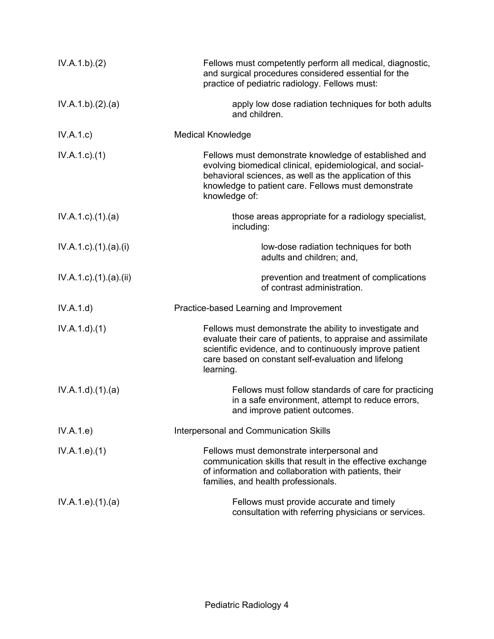| IV.A.1.b)(2)                     | Fellows must competently perform all medical, diagnostic,<br>and surgical procedures considered essential for the<br>practice of pediatric radiology. Fellows must:                                                                                    |
|----------------------------------|--------------------------------------------------------------------------------------------------------------------------------------------------------------------------------------------------------------------------------------------------------|
| IV.A.1.b)(2).(a)                 | apply low dose radiation techniques for both adults<br>and children.                                                                                                                                                                                   |
| IV.A.1.c)                        | <b>Medical Knowledge</b>                                                                                                                                                                                                                               |
| $IV.A.1.c.$ (1)                  | Fellows must demonstrate knowledge of established and<br>evolving biomedical clinical, epidemiological, and social-<br>behavioral sciences, as well as the application of this<br>knowledge to patient care. Fellows must demonstrate<br>knowledge of: |
| $IV.A.1.c$ . $(1).$ $(a)$        | those areas appropriate for a radiology specialist,<br>including:                                                                                                                                                                                      |
| $IV.A.1.c$ ). $(1).$ (a). $(i)$  | low-dose radiation techniques for both<br>adults and children; and,                                                                                                                                                                                    |
| $IV.A.1.c$ ). $(1).$ (a). $(ii)$ | prevention and treatment of complications<br>of contrast administration.                                                                                                                                                                               |
| IV.A.1.d)                        | Practice-based Learning and Improvement                                                                                                                                                                                                                |
| IV.A.1.d)(1)                     | Fellows must demonstrate the ability to investigate and<br>evaluate their care of patients, to appraise and assimilate<br>scientific evidence, and to continuously improve patient<br>care based on constant self-evaluation and lifelong<br>learning. |
| IV.A.1.d.(1).(a)                 | Fellows must follow standards of care for practicing<br>in a safe environment, attempt to reduce errors,<br>and improve patient outcomes.                                                                                                              |
| IV.A.1.e)                        | <b>Interpersonal and Communication Skills</b>                                                                                                                                                                                                          |
| IV.A.1.e. (1)                    | Fellows must demonstrate interpersonal and<br>communication skills that result in the effective exchange<br>of information and collaboration with patients, their<br>families, and health professionals.                                               |
| IV.A.1.e. (1). (a)               | Fellows must provide accurate and timely<br>consultation with referring physicians or services.                                                                                                                                                        |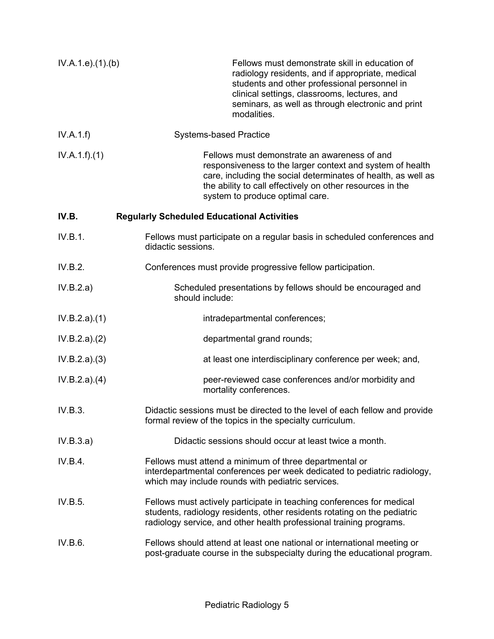| IV.A.1.e. (1)(b) | Fellows must demonstrate skill in education of<br>radiology residents, and if appropriate, medical<br>students and other professional personnel in<br>clinical settings, classrooms, lectures, and<br>seminars, as well as through electronic and print<br>modalities.     |
|------------------|----------------------------------------------------------------------------------------------------------------------------------------------------------------------------------------------------------------------------------------------------------------------------|
| IV.A.1.f)        | <b>Systems-based Practice</b>                                                                                                                                                                                                                                              |
| IV.A.1.f)(1)     | Fellows must demonstrate an awareness of and<br>responsiveness to the larger context and system of health<br>care, including the social determinates of health, as well as<br>the ability to call effectively on other resources in the<br>system to produce optimal care. |
| IV.B.            | <b>Regularly Scheduled Educational Activities</b>                                                                                                                                                                                                                          |
| IV.B.1.          | Fellows must participate on a regular basis in scheduled conferences and<br>didactic sessions.                                                                                                                                                                             |
| IV.B.2.          | Conferences must provide progressive fellow participation.                                                                                                                                                                                                                 |
| IV.B.2.a)        | Scheduled presentations by fellows should be encouraged and<br>should include:                                                                                                                                                                                             |
| IV.B.2.a)(1)     | intradepartmental conferences;                                                                                                                                                                                                                                             |
| IV.B.2.a)(2)     | departmental grand rounds;                                                                                                                                                                                                                                                 |
| IV.B.2.a)(3)     | at least one interdisciplinary conference per week; and,                                                                                                                                                                                                                   |
| IV.B.2.a)(4)     | peer-reviewed case conferences and/or morbidity and<br>mortality conferences.                                                                                                                                                                                              |
| IV.B.3.          | Didactic sessions must be directed to the level of each fellow and provide<br>formal review of the topics in the specialty curriculum.                                                                                                                                     |
| IV.B.3.a)        | Didactic sessions should occur at least twice a month.                                                                                                                                                                                                                     |
| IV.B.4.          | Fellows must attend a minimum of three departmental or<br>interdepartmental conferences per week dedicated to pediatric radiology,<br>which may include rounds with pediatric services.                                                                                    |
| IV.B.5.          | Fellows must actively participate in teaching conferences for medical<br>students, radiology residents, other residents rotating on the pediatric<br>radiology service, and other health professional training programs.                                                   |
| IV.B.6.          | Fellows should attend at least one national or international meeting or<br>post-graduate course in the subspecialty during the educational program.                                                                                                                        |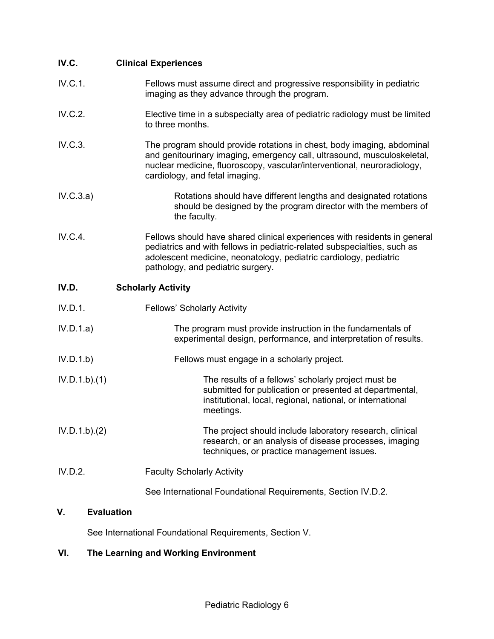| IV.C.                   | <b>Clinical Experiences</b>                                                                                                                                                                                                                                     |
|-------------------------|-----------------------------------------------------------------------------------------------------------------------------------------------------------------------------------------------------------------------------------------------------------------|
| IV.C.1.                 | Fellows must assume direct and progressive responsibility in pediatric<br>imaging as they advance through the program.                                                                                                                                          |
| IV.C.2.                 | Elective time in a subspecialty area of pediatric radiology must be limited<br>to three months.                                                                                                                                                                 |
| IV.C.3.                 | The program should provide rotations in chest, body imaging, abdominal<br>and genitourinary imaging, emergency call, ultrasound, musculoskeletal,<br>nuclear medicine, fluoroscopy, vascular/interventional, neuroradiology,<br>cardiology, and fetal imaging.  |
| IV.C.3.a)               | Rotations should have different lengths and designated rotations<br>should be designed by the program director with the members of<br>the faculty.                                                                                                              |
| IV.C.4.                 | Fellows should have shared clinical experiences with residents in general<br>pediatrics and with fellows in pediatric-related subspecialties, such as<br>adolescent medicine, neonatology, pediatric cardiology, pediatric<br>pathology, and pediatric surgery. |
| IV.D.                   | <b>Scholarly Activity</b>                                                                                                                                                                                                                                       |
| IV.D.1.                 | <b>Fellows' Scholarly Activity</b>                                                                                                                                                                                                                              |
| IV.D.1.a)               | The program must provide instruction in the fundamentals of<br>experimental design, performance, and interpretation of results.                                                                                                                                 |
| IV.D.1.b                | Fellows must engage in a scholarly project.                                                                                                                                                                                                                     |
| IV.D.1.b)(1)            | The results of a fellows' scholarly project must be<br>submitted for publication or presented at departmental,<br>institutional, local, regional, national, or international<br>meetings.                                                                       |
| IV.D.1.b)(2)            | The project should include laboratory research, clinical<br>research, or an analysis of disease processes, imaging<br>techniques, or practice management issues.                                                                                                |
| IV.D.2.                 | <b>Faculty Scholarly Activity</b>                                                                                                                                                                                                                               |
|                         | See International Foundational Requirements, Section IV.D.2.                                                                                                                                                                                                    |
| <b>Evaluation</b><br>V. |                                                                                                                                                                                                                                                                 |

See International Foundational Requirements, Section V.

# **VI. The Learning and Working Environment**